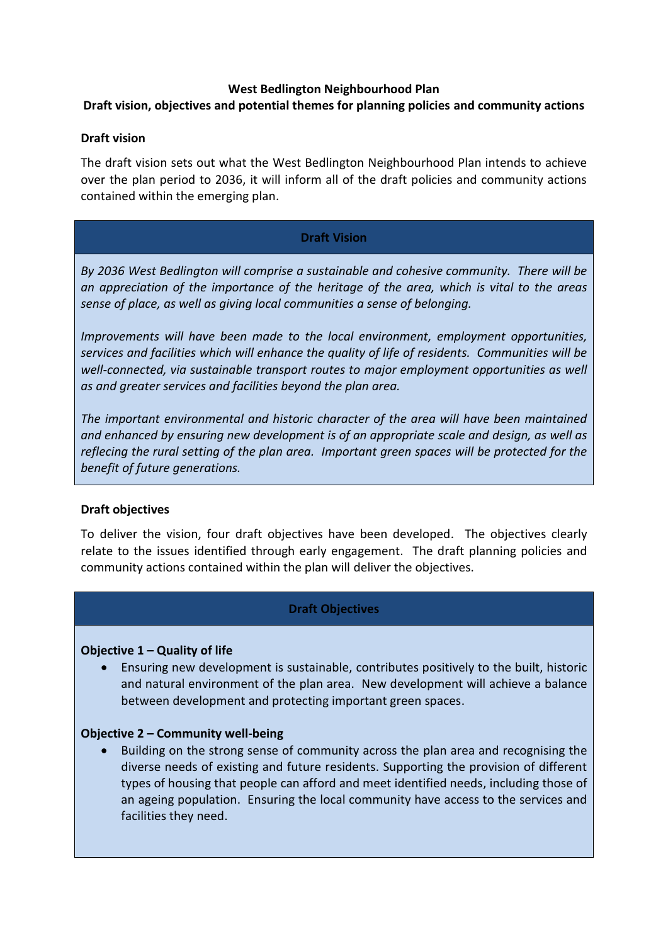### **West Bedlington Neighbourhood Plan**

# **Draft vision, objectives and potential themes for planning policies and community actions**

### **Draft vision**

The draft vision sets out what the West Bedlington Neighbourhood Plan intends to achieve over the plan period to 2036, it will inform all of the draft policies and community actions contained within the emerging plan.

## **Draft Vision**

*By 2036 West Bedlington will comprise a sustainable and cohesive community. There will be an appreciation of the importance of the heritage of the area, which is vital to the areas sense of place, as well as giving local communities a sense of belonging.* 

*Improvements will have been made to the local environment, employment opportunities, services and facilities which will enhance the quality of life of residents. Communities will be well-connected, via sustainable transport routes to major employment opportunities as well as and greater services and facilities beyond the plan area.*

*The important environmental and historic character of the area will have been maintained and enhanced by ensuring new development is of an appropriate scale and design, as well as reflecing the rural setting of the plan area. Important green spaces will be protected for the benefit of future generations.*

### **Draft objectives**

To deliver the vision, four draft objectives have been developed. The objectives clearly relate to the issues identified through early engagement. The draft planning policies and community actions contained within the plan will deliver the objectives.

# **Draft Objectives**

### **Objective 1 – Quality of life**

• Ensuring new development is sustainable, contributes positively to the built, historic and natural environment of the plan area. New development will achieve a balance between development and protecting important green spaces.

### **Objective 2 – Community well-being**

• Building on the strong sense of community across the plan area and recognising the diverse needs of existing and future residents. Supporting the provision of different types of housing that people can afford and meet identified needs, including those of an ageing population. Ensuring the local community have access to the services and facilities they need.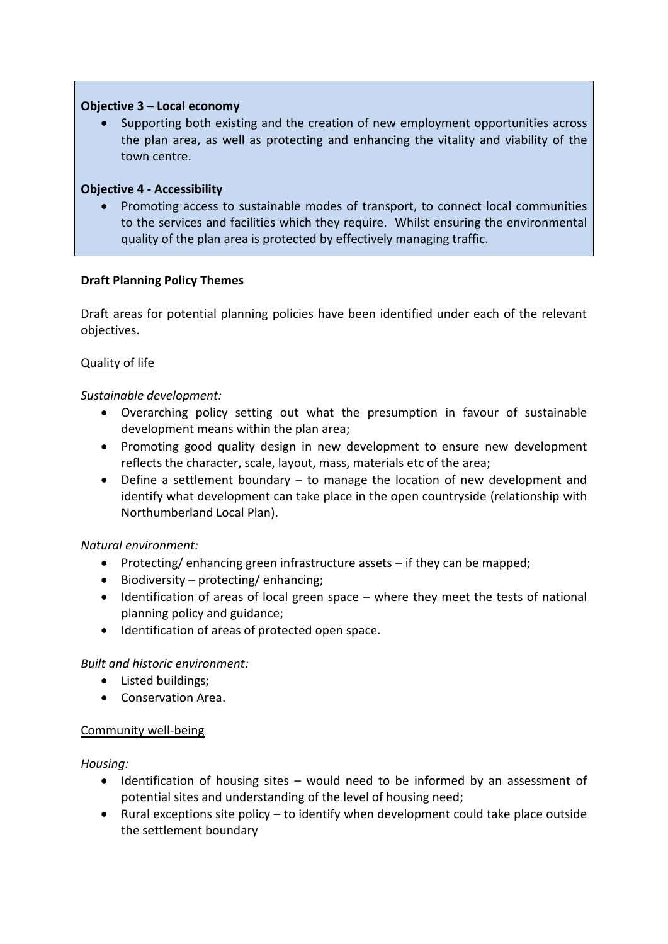## **Objective 3 – Local economy**

Supporting both existing and the creation of new employment opportunities across the plan area, as well as protecting and enhancing the vitality and viability of the town centre.

## **Objective 4 - Accessibility**

• Promoting access to sustainable modes of transport, to connect local communities to the services and facilities which they require. Whilst ensuring the environmental quality of the plan area is protected by effectively managing traffic.

## **Draft Planning Policy Themes**

Draft areas for potential planning policies have been identified under each of the relevant objectives.

## Quality of life

## *Sustainable development:*

- Overarching policy setting out what the presumption in favour of sustainable development means within the plan area;
- Promoting good quality design in new development to ensure new development reflects the character, scale, layout, mass, materials etc of the area;
- Define a settlement boundary to manage the location of new development and identify what development can take place in the open countryside (relationship with Northumberland Local Plan).

### *Natural environment:*

- Protecting/ enhancing green infrastructure assets if they can be mapped;
- Biodiversity protecting/ enhancing;
- Identification of areas of local green space where they meet the tests of national planning policy and guidance;
- Identification of areas of protected open space.

# *Built and historic environment:*

- Listed buildings;
- Conservation Area.

### Community well-being

### *Housing:*

- Identification of housing sites would need to be informed by an assessment of potential sites and understanding of the level of housing need;
- Rural exceptions site policy to identify when development could take place outside the settlement boundary